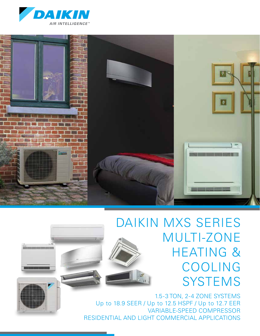



# DAIKIN MXS SERIES MULTI-ZONE HEATING & COOLING **SYSTEMS**

1.5-3 TON, 2-4 ZONE SYSTEMS Up to 18.9 SEER / Up to 12.5 HSPF / Up to 12.7 EER VARIABLE-SPEED COMPRESSOR RESIDENTIAL AND LIGHT COMMERCIAL APPLICATIONS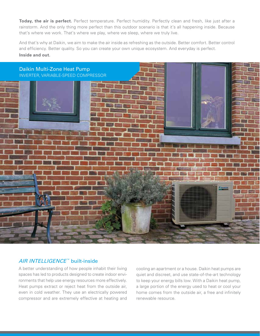**Today, the air is perfect.** Perfect temperature. Perfect humidity. Perfectly clean and fresh, like just after a rainstorm. And the only thing more perfect than this outdoor scenario is that it's all happening inside. Because that's where we work. That's where we play, where we sleep, where we truly live.

And that's why at Daikin, we aim to make the air inside as refreshing as the outside. Better comfort. Better control and efficiency. Better quality. So you can create your own unique ecosystem. And everyday is perfect. **Inside and out.**



### AIR INTELLIGENCE™ built-inside

A better understanding of how people inhabit their living spaces has led to products designed to create indoor environments that help use energy resources more effectively. Heat pumps extract or reject heat from the outside air, even in cold weather. They use an electrically powered compressor and are extremely effective at heating and cooling an apartment or a house. Daikin heat pumps are quiet and discreet, and use state-of-the-art technology to keep your energy bills low. With a Daikin heat pump, a large portion of the energy used to heat or cool your home comes from the outside air, a free and infinitely renewable resource.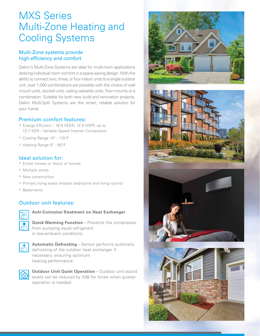# MXS Series Multi-Zone Heating and Cooling Systems

### Multi-Zone systems provide high efficiency and comfort

Daikin's Multi-Zone Systems are ideal for multi-room applications desiring individual room comfort in a space-saving design. With the ability to connect two, three, or four indoor units to a single outdoor unit, over 1,000 combinations are possible with the choice of wall mount units, ducted units, ceiling cassette units, floor mounts or a combination. Suitable for both new build and renovation projects, Daikin Multi-Split Systems are the smart, reliable solution for your home.

### Premium comfort features:

- » Energy Efficient 18.9 SEER, 12.5 HSPF, up to 12.7 EER – Variable Speed Inverter Compressor
- » Cooling Range 14° 115°F
- » Heating Range 5° 60°F

### Ideal solution for:

- » Entire homes or floors of homes
- » Multiple zones
- » New construction
- » Primary living areas (master bedrooms and living rooms)
- » Basements

## Outdoor unit features:



**Anti-Corrosion Treatment on Heat Exchanger**

**Quick Warming Function** – Prevents the compressor from pumping liquid refrigerant in low-ambient conditions.



**Automatic Defrosting** – Sensor performs automatic defrosting of the outdoor heat exchanger if necessary, ensuring optimum heating performance.



**Outdoor Unit Quiet Operation** – Outdoor unit sound levels can be reduced by 3dB for times when quieter operation is needed.







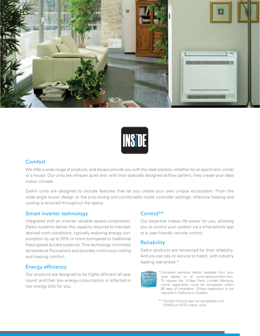



### **Comfort**

We offer a wide range of products, and always provide you with the ideal solution, whether for an apartment, condo or a house. Our units are whisper quiet and, with their specially designed airflow pattern, they create your ideal indoor climate.

Daikin units are designed to include features that let you create your own unique ecosystem. From the wide-angle louver design to the auto-swing and comfortable mode controller settings, effective heating and cooling is ensured throughout the space.

### Smart inverter technology

Integrated with an inverter variable-speed compressor, Daikin systems deliver the capacity required to maintain desired room conditions, typically reducing energy consumption by up to 30% or more (compared to traditional fixed-speed ducted systems). This technology minimizes temperature fluctuations and provides continuous cooling and heating comfort.

## Energy efficiency

Our products are designed to be highly efficient all year round, and their low energy consumption is reflected in low energy bills for you.

## Control\*\*

Our expertise makes life easier for you, allowing you to control your system via a smartphone app or a user-friendly remote control.

## **Reliability**

Daikin products are renowned for their reliability. And you can rely on service to match, with industry leading warranties.\*



\* Complete warranty details available from your local dealer or at www.daikincomfort.com. To receive the 12-Year Parts Limited Warranty, online registration must be completed within 60 days of installation. Online registration is not required in California or Quebec.

\*\* Comfort Control app not compatible with FDMQ or VISTA indoor units.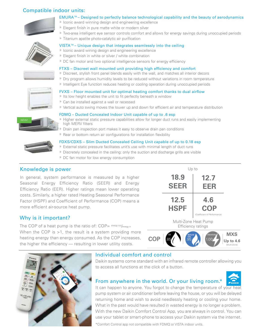### Compatible indoor units:



### EMURA™– Designed to perfectly balance technological capability and the beauty of aerodynamics

- » Iconic award winning design and engineering excellence
- » Elegant finish in pure matte white or modern silver
- » Two-area intelligent eye sensor controls comfort and allows for energy savings during unoccupied periods
- » Titanium apatite photo-catalytic air purification





» Iconic award wining design and engineering excellence

» DC fan motor and two optional intelligence sensors for energy efficiency

VISTA™– Unique design that integrates seamlessly into the ceiling

### FTXS – Discreet wall mounted unit providing high efficiency and comfort

- » Discreet, stylish front panel blends easily with the wall, and matches all interior decors
- » Dry program allows humidity levels to be reduced without variations in room temperature
- » Intelligent Eye function reduces heating or cooling operation during unoccupied periods

### FVXS – Floor mounted unit for optimal heating comfort thanks to dual airflow

- » Its low height enables the unit to fit perfectly beneath a window
- » Can be installed against a wall or recessed
- » Vertical auto swing moves the louver up and down for efficient air and temperature distribution

# NEW!

- » Higher external static pressure capabilities allow for longer duct runs and easily implementing high MERV filters
- » Drain pan inspection port makes it easy to observe drain pan conditions

FDMQ – Ducted Concealed Indoor Unit capable of up to .6 esp

» Rear or bottom return air configurations for installation flexibility

### FDXS/CDXS – Slim Ducted Concealed Ceiling Unit capable of up to 0.18 esp » External static pressure facilitates unit's use with minimal length of duct runs

- » Discretely concealed in the ceiling: only the suction and discharge grills are visible
- » DC fan motor for low energy consumption

### Knowledge is power

In general, system performance is measured by a higher Seasonal Energy Efficiency Ratio (SEER) and Energy Efficiency Ratio (EER). Higher ratings mean lower operating costs. Similarly, a higher rated Heating Seasonal Performance Factor (HSPF) and Coefficient of Performance (COP) means a more efficient air-source heat pump.

# Why is it important?

The COP of a heat pump is the ratio of:  $COP = \frac{energy \cdot out}{energy \cdot in}$ When the COP is >1, the result is a system providing more heating energy than energy consumed. As the COP increases, the higher the efficiency — resulting in lower utility costs.







### Individual comfort and control

Daikin systems come standard with an infrared remote controller allowing you to access all functions at the click of a button.

## From anywhere in the world. Or your living room.\*

It can happen to anyone. You forgot to change the temperature of your heat pump system or air conditioner before leaving the house, or you will be delayed returning home and wish to avoid needlessly heating or cooling your home. What in the past would have resulted in wasted energy is no longer a problem. With the new Daikin Comfort Control App, you are always in control. You can use your tablet or smart-phone to access your Daikin system via the internet.

\*Comfort Control app not compatible with FDMQ or VISTA indoor units.